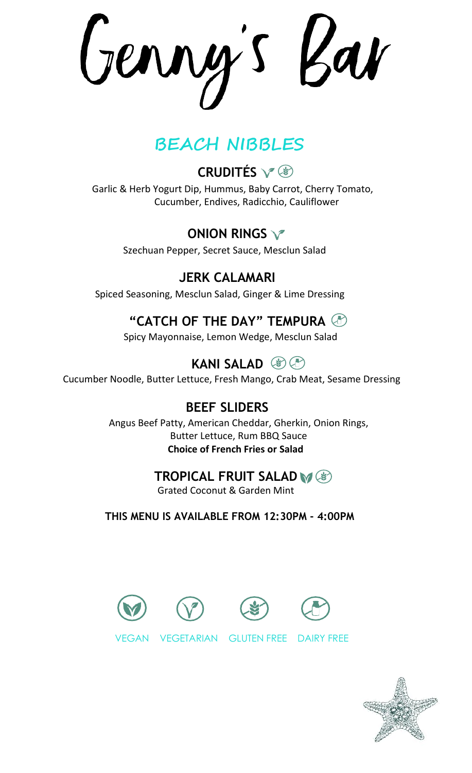Genny's Bar

# **BEACH NIBBLES**

# **CRUDITÉS**

 Garlic & Herb Yogurt Dip, Hummus, Baby Carrot, Cherry Tomato, Cucumber, Endives, Radicchio, Cauliflower

## **ONION RINGS**

Szechuan Pepper, Secret Sauce, Mesclun Salad

**JERK CALAMARI** Spiced Seasoning, Mesclun Salad, Ginger & Lime Dressing

## **"CATCH OF THE DAY" TEMPURA**

Spicy Mayonnaise, Lemon Wedge, Mesclun Salad

## **KANI SALAD** (8) (1)

Cucumber Noodle, Butter Lettuce, Fresh Mango, Crab Meat, Sesame Dressing

### **BEEF SLIDERS**

Angus Beef Patty, American Cheddar, Gherkin, Onion Rings, Butter Lettuce, Rum BBQ Sauce  **Choice of French Fries or Salad**

### **TROPICAL FRUIT SALAD**

Grated Coconut & Garden Mint

 **THIS MENU IS AVAILABLE FROM 12:30PM - 4:00PM**

VEGAN VEGETARIAN GLUTEN FREE DAIRY FREE